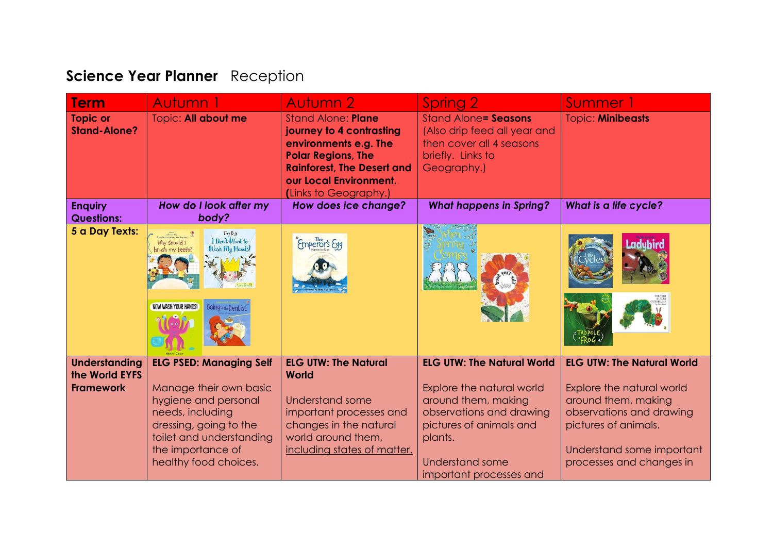## **Science Year Planner** Reception

| <b>Term</b>                                                | Autumn 1                                                                                                                                                                                                 | Autumn 2                                                                                                                                                                                            | Spring 2                                                                                                                                                                                              | Summer 1                                                                                                                                                                                           |
|------------------------------------------------------------|----------------------------------------------------------------------------------------------------------------------------------------------------------------------------------------------------------|-----------------------------------------------------------------------------------------------------------------------------------------------------------------------------------------------------|-------------------------------------------------------------------------------------------------------------------------------------------------------------------------------------------------------|----------------------------------------------------------------------------------------------------------------------------------------------------------------------------------------------------|
| <b>Topic or</b><br><b>Stand-Alone?</b>                     | Topic: All about me                                                                                                                                                                                      | <b>Stand Alone: Plane</b><br>journey to 4 contrasting<br>environments e.g. The<br><b>Polar Regions, The</b><br><b>Rainforest, The Desert and</b><br>our Local Environment.<br>(Links to Geography.) | <b>Stand Alone = Seasons</b><br>(Also drip feed all year and<br>then cover all 4 seasons<br>briefly. Links to<br>Geography.)                                                                          | <b>Topic: Minibeasts</b>                                                                                                                                                                           |
| <b>Enquiry</b><br><b>Questions:</b>                        | How do I look after my<br>body?                                                                                                                                                                          | How does ice change?                                                                                                                                                                                | <b>What happens in Spring?</b>                                                                                                                                                                        | <b>What is a life cycle?</b>                                                                                                                                                                       |
| 5 a Day Texts:                                             | Toy Ress<br>I Don't Want to<br><b>UTI-me-flug</b><br>First Questions and Answers<br>Why should I<br>Wash My Hands!<br>prush my teeth?<br><b>NOW WASH YOUR HANDS!</b><br><b>GoingtotheDentist</b>         | Emperor's Egg                                                                                                                                                                                       |                                                                                                                                                                                                       |                                                                                                                                                                                                    |
| <b>Understanding</b><br>the World EYFS<br><b>Framework</b> | <b>ELG PSED: Managing Self</b><br>Manage their own basic<br>hygiene and personal<br>needs, including<br>dressing, going to the<br>toilet and understanding<br>the importance of<br>healthy food choices. | <b>ELG UTW: The Natural</b><br><b>World</b><br>Understand some<br>important processes and<br>changes in the natural<br>world around them,<br>including states of matter.                            | <b>ELG UTW: The Natural World</b><br>Explore the natural world<br>around them, making<br>observations and drawing<br>pictures of animals and<br>plants.<br>Understand some<br>important processes and | <b>ELG UTW: The Natural World</b><br>Explore the natural world<br>around them, making<br>observations and drawing<br>pictures of animals.<br>Understand some important<br>processes and changes in |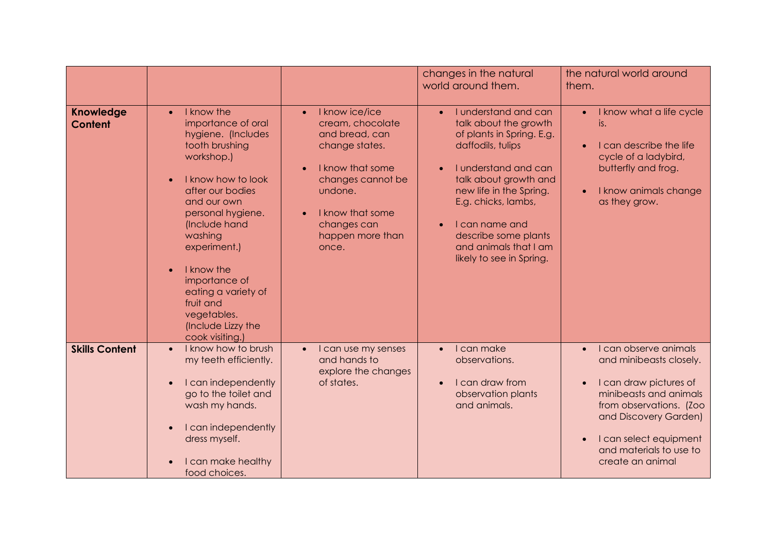|                                    |                                                                                                                                                                                                                                                                                                                                                          |                                                                                                                                                                                                         | changes in the natural<br>world around them.                                                                                                                                                                                                                                                                                             | the natural world around<br>them.                                                                                                                                                                                                              |
|------------------------------------|----------------------------------------------------------------------------------------------------------------------------------------------------------------------------------------------------------------------------------------------------------------------------------------------------------------------------------------------------------|---------------------------------------------------------------------------------------------------------------------------------------------------------------------------------------------------------|------------------------------------------------------------------------------------------------------------------------------------------------------------------------------------------------------------------------------------------------------------------------------------------------------------------------------------------|------------------------------------------------------------------------------------------------------------------------------------------------------------------------------------------------------------------------------------------------|
| <b>Knowledge</b><br><b>Content</b> | I know the<br>$\bullet$<br>importance of oral<br>hygiene. (Includes<br>tooth brushing<br>workshop.)<br>I know how to look<br>after our bodies<br>and our own<br>personal hygiene.<br>(Include hand<br>washing<br>experiment.)<br>I know the<br>importance of<br>eating a variety of<br>fruit and<br>vegetables.<br>(Include Lizzy the<br>cook visiting.) | I know ice/ice<br>$\bullet$<br>cream, chocolate<br>and bread, can<br>change states.<br>I know that some<br>changes cannot be<br>undone.<br>I know that some<br>changes can<br>happen more than<br>once. | I understand and can<br>$\bullet$<br>talk about the growth<br>of plants in Spring. E.g.<br>daffodils, tulips<br>I understand and can<br>$\bullet$<br>talk about growth and<br>new life in the Spring.<br>E.g. chicks, lambs,<br>I can name and<br>$\bullet$<br>describe some plants<br>and animals that I am<br>likely to see in Spring. | I know what a life cycle<br>$\bullet$<br>is.<br>I can describe the life<br>cycle of a ladybird,<br>butterfly and frog.<br>I know animals change<br>as they grow.                                                                               |
| <b>Skills Content</b>              | I know how to brush<br>$\bullet$<br>my teeth efficiently.<br>I can independently<br>go to the toilet and<br>wash my hands.<br>I can independently<br>dress myself.<br>I can make healthy<br>food choices.                                                                                                                                                | I can use my senses<br>$\bullet$<br>and hands to<br>explore the changes<br>of states.                                                                                                                   | I can make<br>$\bullet$<br>observations.<br>I can draw from<br>$\bullet$<br>observation plants<br>and animals.                                                                                                                                                                                                                           | I can observe animals<br>$\bullet$<br>and minibeasts closely.<br>I can draw pictures of<br>minibeasts and animals<br>from observations. (Zoo<br>and Discovery Garden)<br>I can select equipment<br>and materials to use to<br>create an animal |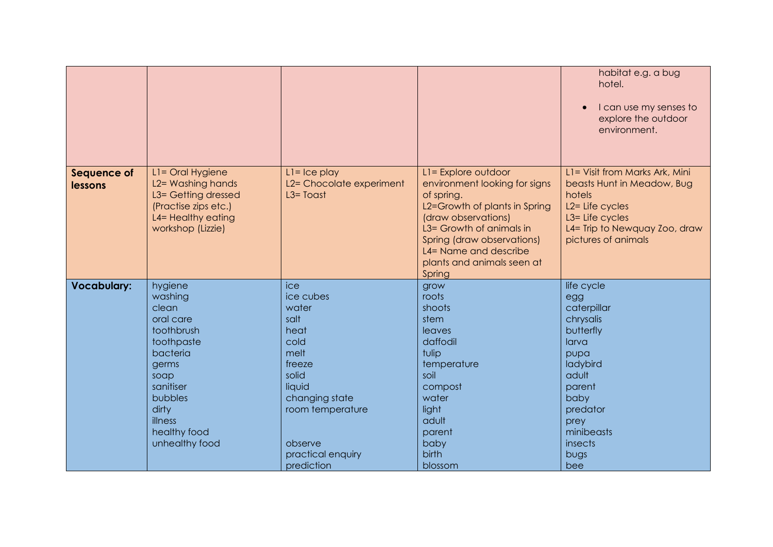|                               |                                                                                                                                                                                 |                                                                                                                                                                            |                                                                                                                                                                                                                                                       | habitat e.g. a bug<br>hotel.<br>I can use my senses to<br>explore the outdoor<br>environment.                                                                                                  |
|-------------------------------|---------------------------------------------------------------------------------------------------------------------------------------------------------------------------------|----------------------------------------------------------------------------------------------------------------------------------------------------------------------------|-------------------------------------------------------------------------------------------------------------------------------------------------------------------------------------------------------------------------------------------------------|------------------------------------------------------------------------------------------------------------------------------------------------------------------------------------------------|
| <b>Sequence of</b><br>lessons | L1= Oral Hygiene<br>L2= Washing hands<br>L3= Getting dressed<br>(Practise zips etc.)<br>L4= Healthy eating<br>workshop (Lizzie)                                                 | $L = Ice$ play<br>L2= Chocolate experiment<br>$L3 = T$ oast                                                                                                                | L1= Explore outdoor<br>environment looking for signs<br>of spring.<br>L2=Growth of plants in Spring<br>(draw observations)<br>L3= Growth of animals in<br>Spring (draw observations)<br>L4= Name and describe<br>plants and animals seen at<br>Spring | L1= Visit from Marks Ark, Mini<br>beasts Hunt in Meadow, Bug<br>hotels<br>L <sub>2</sub> = Life cycles<br>L <sub>3</sub> = Life cycles<br>L4= Trip to Newquay Zoo, draw<br>pictures of animals |
| <b>Vocabulary:</b>            | hygiene<br>washing<br>clean<br>oral care<br>toothbrush<br>toothpaste<br>bacteria<br>germs<br>soap<br>sanitiser<br>bubbles<br>dirty<br>illness<br>healthy food<br>unhealthy food | ice<br>ice cubes<br>water<br>salt<br>heat<br>cold<br>melt<br>freeze<br>solid<br>liquid<br>changing state<br>room temperature<br>observe<br>practical enquiry<br>prediction | grow<br>roots<br>shoots<br>stem<br>leaves<br>daffodil<br>tulip<br>temperature<br>soil<br>compost<br>water<br>light<br>adult<br>parent<br>baby<br>birth<br>blossom                                                                                     | life cycle<br>egg<br>caterpillar<br>chrysalis<br>butterfly<br>larva<br>pupa<br>ladybird<br>adult<br>parent<br>baby<br>predator<br>prey<br>minibeasts<br>insects<br>bugs<br>bee                 |